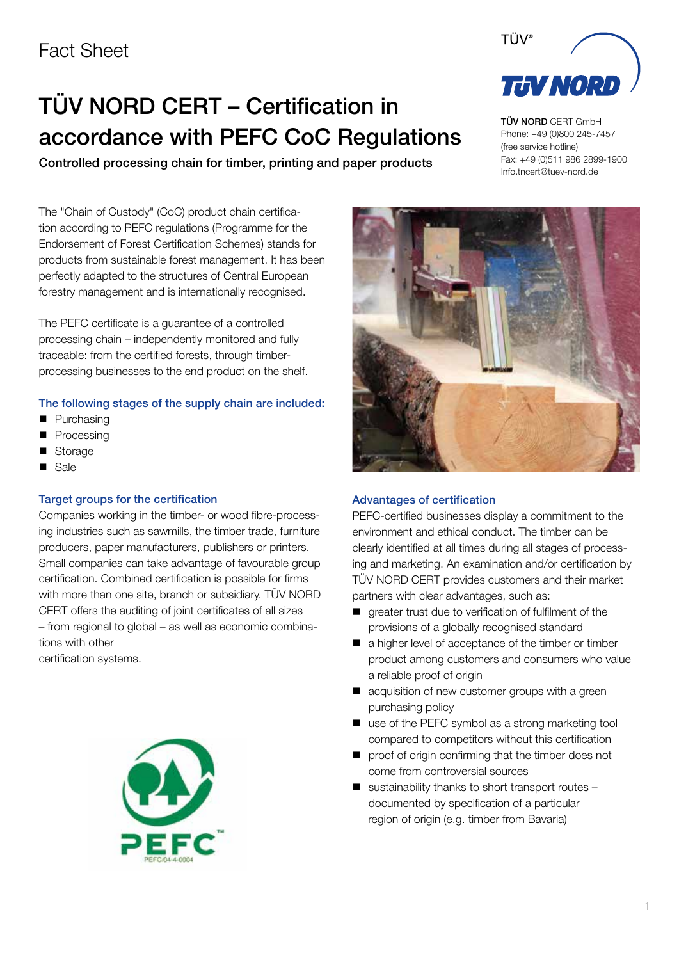# TÜV NORD CERT – Certification in accordance with PEFC CoC Regulations

Controlled processing chain for timber, printing and paper products

The "Chain of Custody" (CoC) product chain certification according to PEFC regulations (Programme for the Endorsement of Forest Certification Schemes) stands for products from sustainable forest management. It has been perfectly adapted to the structures of Central European forestry management and is internationally recognised.

The PEFC certificate is a guarantee of a controlled processing chain – independently monitored and fully traceable: from the certified forests, through timberprocessing businesses to the end product on the shelf.

### The following stages of the supply chain are included:

- $Plurchasing$
- Processing
- Storage
- **n** Sale

### Target groups for the certification

Companies working in the timber- or wood fibre-processing industries such as sawmills, the timber trade, furniture producers, paper manufacturers, publishers or printers. Small companies can take advantage of favourable group certification. Combined certification is possible for firms with more than one site, branch or subsidiary. TÜV NORD CERT offers the auditing of joint certificates of all sizes – from regional to global – as well as economic combinations with other

certification systems.





TÜV®

TÜV NORD CERT GmbH Phone: +49 (0)800 245-7457 (free service hotline) Fax: +49 (0)511 986 2899-1900 Info.tncert@tuev-nord.de



### Advantages of certification

PEFC-certified businesses display a commitment to the environment and ethical conduct. The timber can be clearly identified at all times during all stages of processing and marketing. An examination and/or certification by TÜV NORD CERT provides customers and their market partners with clear advantages, such as:

- greater trust due to verification of fulfilment of the provisions of a globally recognised standard
- a higher level of acceptance of the timber or timber product among customers and consumers who value a reliable proof of origin
- $\blacksquare$  acquisition of new customer groups with a green purchasing policy
- $\blacksquare$  use of the PEFC symbol as a strong marketing tool compared to competitors without this certification
- $\blacksquare$  proof of origin confirming that the timber does not come from controversial sources
- $\blacksquare$  sustainability thanks to short transport routes documented by specification of a particular region of origin (e.g. timber from Bavaria)